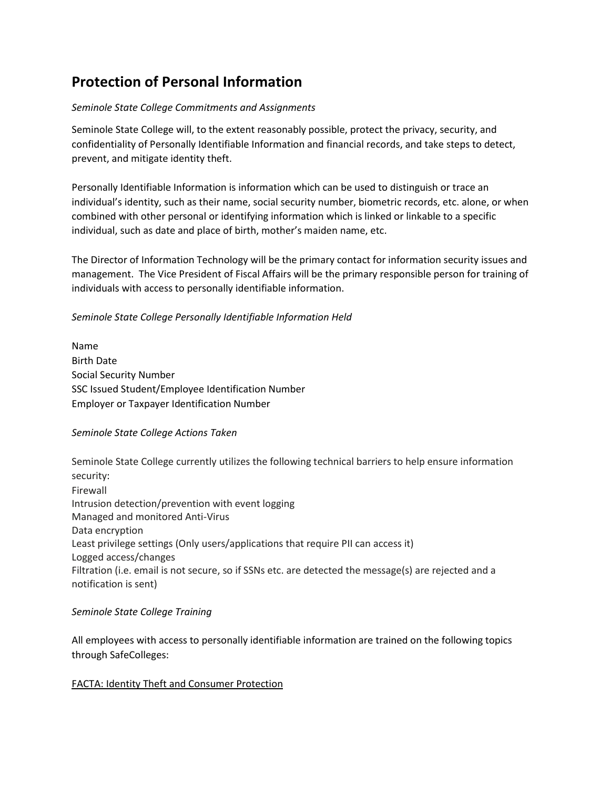# **Protection of Personal Information**

#### *Seminole State College Commitments and Assignments*

Seminole State College will, to the extent reasonably possible, protect the privacy, security, and confidentiality of Personally Identifiable Information and financial records, and take steps to detect, prevent, and mitigate identity theft.

Personally Identifiable Information is information which can be used to distinguish or trace an individual's identity, such as their name, social security number, biometric records, etc. alone, or when combined with other personal or identifying information which is linked or linkable to a specific individual, such as date and place of birth, mother's maiden name, etc.

The Director of Information Technology will be the primary contact for information security issues and management. The Vice President of Fiscal Affairs will be the primary responsible person for training of individuals with access to personally identifiable information.

### *Seminole State College Personally Identifiable Information Held*

Name Birth Date Social Security Number SSC Issued Student/Employee Identification Number Employer or Taxpayer Identification Number

#### *Seminole State College Actions Taken*

Seminole State College currently utilizes the following technical barriers to help ensure information security: Firewall Intrusion detection/prevention with event logging Managed and monitored Anti-Virus Data encryption Least privilege settings (Only users/applications that require PII can access it) Logged access/changes Filtration (i.e. email is not secure, so if SSNs etc. are detected the message(s) are rejected and a notification is sent)

#### *Seminole State College Training*

All employees with access to personally identifiable information are trained on the following topics through SafeColleges:

## FACTA: Identity Theft and Consumer Protection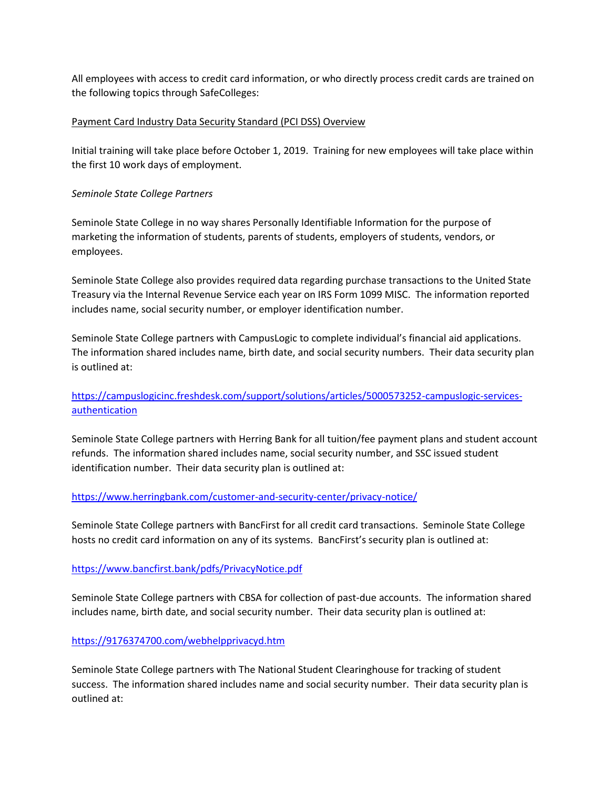All employees with access to credit card information, or who directly process credit cards are trained on the following topics through SafeColleges:

#### Payment Card Industry Data Security Standard (PCI DSS) Overview

Initial training will take place before October 1, 2019. Training for new employees will take place within the first 10 work days of employment.

## *Seminole State College Partners*

Seminole State College in no way shares Personally Identifiable Information for the purpose of marketing the information of students, parents of students, employers of students, vendors, or employees.

Seminole State College also provides required data regarding purchase transactions to the United State Treasury via the Internal Revenue Service each year on IRS Form 1099 MISC. The information reported includes name, social security number, or employer identification number.

Seminole State College partners with CampusLogic to complete individual's financial aid applications. The information shared includes name, birth date, and social security numbers. Their data security plan is outlined at:

## [https://campuslogicinc.freshdesk.com/support/solutions/articles/5000573252-campuslogic-services](https://campuslogicinc.freshdesk.com/support/solutions/articles/5000573252-campuslogic-services-authentication)[authentication](https://campuslogicinc.freshdesk.com/support/solutions/articles/5000573252-campuslogic-services-authentication)

Seminole State College partners with Herring Bank for all tuition/fee payment plans and student account refunds. The information shared includes name, social security number, and SSC issued student identification number. Their data security plan is outlined at:

#### <https://www.herringbank.com/customer-and-security-center/privacy-notice/>

Seminole State College partners with BancFirst for all credit card transactions. Seminole State College hosts no credit card information on any of its systems. BancFirst's security plan is outlined at:

## <https://www.bancfirst.bank/pdfs/PrivacyNotice.pdf>

Seminole State College partners with CBSA for collection of past-due accounts. The information shared includes name, birth date, and social security number. Their data security plan is outlined at:

## <https://9176374700.com/webhelpprivacyd.htm>

Seminole State College partners with The National Student Clearinghouse for tracking of student success. The information shared includes name and social security number. Their data security plan is outlined at: